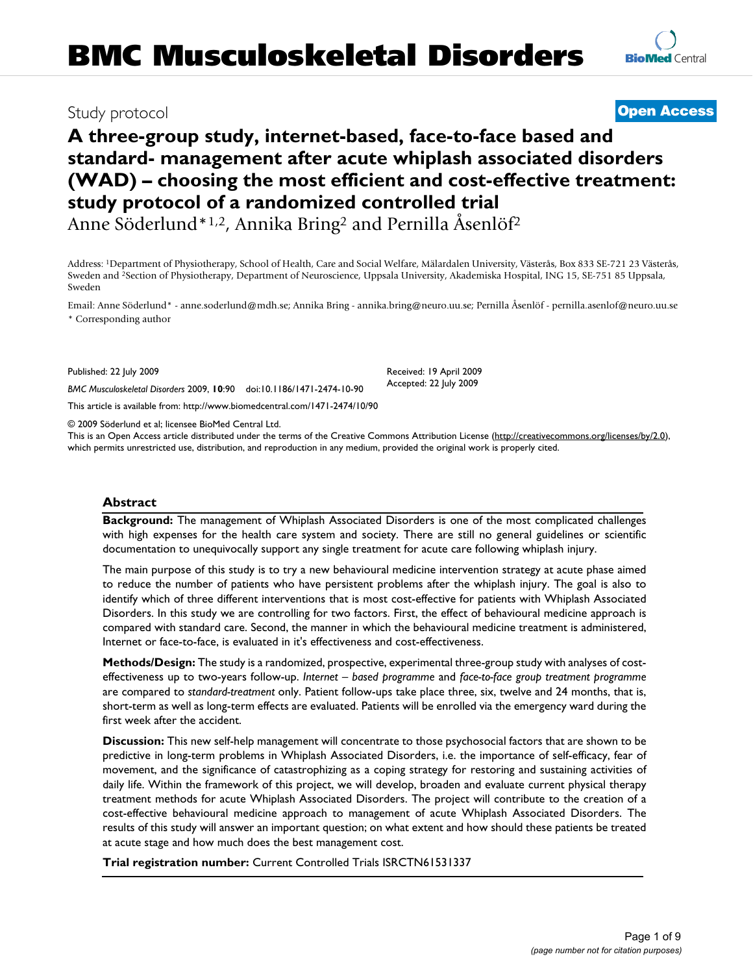# Study protocol **[Open Access](http://www.biomedcentral.com/info/about/charter/)**

# **A three-group study, internet-based, face-to-face based and standard- management after acute whiplash associated disorders (WAD) – choosing the most efficient and cost-effective treatment: study protocol of a randomized controlled trial**

Anne Söderlund\*1,2, Annika Bring2 and Pernilla Åsenlöf2

Address: 1Department of Physiotherapy, School of Health, Care and Social Welfare, Mälardalen University, Västerås, Box 833 SE-721 23 Västerås, Sweden and 2Section of Physiotherapy, Department of Neuroscience, Uppsala University, Akademiska Hospital, ING 15, SE-751 85 Uppsala, Sweden

Email: Anne Söderlund\* - anne.soderlund@mdh.se; Annika Bring - annika.bring@neuro.uu.se; Pernilla Åsenlöf - pernilla.asenlof@neuro.uu.se \* Corresponding author

Published: 22 July 2009

*BMC Musculoskeletal Disorders* 2009, **10**:90 doi:10.1186/1471-2474-10-90

[This article is available from: http://www.biomedcentral.com/1471-2474/10/90](http://www.biomedcentral.com/1471-2474/10/90)

© 2009 Söderlund et al; licensee BioMed Central Ltd.

This is an Open Access article distributed under the terms of the Creative Commons Attribution License [\(http://creativecommons.org/licenses/by/2.0\)](http://creativecommons.org/licenses/by/2.0), which permits unrestricted use, distribution, and reproduction in any medium, provided the original work is properly cited.

#### **Abstract**

**Background:** The management of Whiplash Associated Disorders is one of the most complicated challenges with high expenses for the health care system and society. There are still no general guidelines or scientific documentation to unequivocally support any single treatment for acute care following whiplash injury.

The main purpose of this study is to try a new behavioural medicine intervention strategy at acute phase aimed to reduce the number of patients who have persistent problems after the whiplash injury. The goal is also to identify which of three different interventions that is most cost-effective for patients with Whiplash Associated Disorders. In this study we are controlling for two factors. First, the effect of behavioural medicine approach is compared with standard care. Second, the manner in which the behavioural medicine treatment is administered, Internet or face-to-face, is evaluated in it's effectiveness and cost-effectiveness.

**Methods/Design:** The study is a randomized, prospective, experimental three-group study with analyses of costeffectiveness up to two-years follow-up. *Internet – based programme* and *face-to-face group treatment programme* are compared to *standard-treatment* only. Patient follow-ups take place three, six, twelve and 24 months, that is, short-term as well as long-term effects are evaluated. Patients will be enrolled via the emergency ward during the first week after the accident.

**Discussion:** This new self-help management will concentrate to those psychosocial factors that are shown to be predictive in long-term problems in Whiplash Associated Disorders, i.e. the importance of self-efficacy, fear of movement, and the significance of catastrophizing as a coping strategy for restoring and sustaining activities of daily life. Within the framework of this project, we will develop, broaden and evaluate current physical therapy treatment methods for acute Whiplash Associated Disorders. The project will contribute to the creation of a cost-effective behavioural medicine approach to management of acute Whiplash Associated Disorders. The results of this study will answer an important question; on what extent and how should these patients be treated at acute stage and how much does the best management cost.

**Trial registration number:** Current Controlled Trials ISRCTN61531337

Received: 19 April 2009 Accepted: 22 July 2009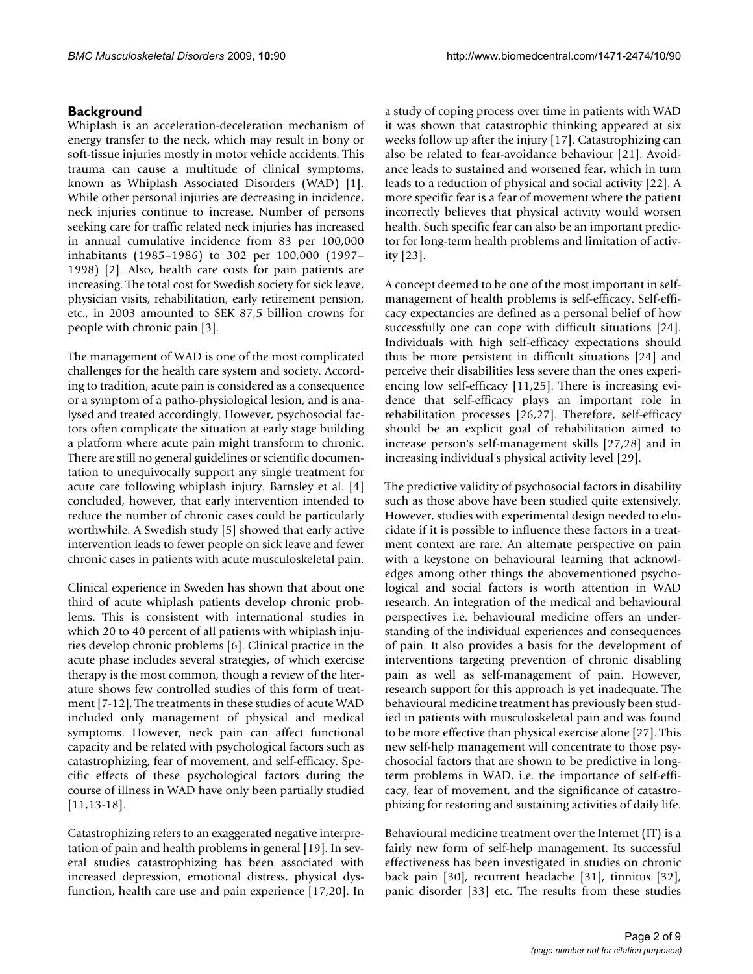# **Background**

Whiplash is an acceleration-deceleration mechanism of energy transfer to the neck, which may result in bony or soft-tissue injuries mostly in motor vehicle accidents. This trauma can cause a multitude of clinical symptoms, known as Whiplash Associated Disorders (WAD) [1]. While other personal injuries are decreasing in incidence, neck injuries continue to increase. Number of persons seeking care for traffic related neck injuries has increased in annual cumulative incidence from 83 per 100,000 inhabitants (1985–1986) to 302 per 100,000 (1997– 1998) [2]. Also, health care costs for pain patients are increasing. The total cost for Swedish society for sick leave, physician visits, rehabilitation, early retirement pension, etc., in 2003 amounted to SEK 87,5 billion crowns for people with chronic pain [3].

The management of WAD is one of the most complicated challenges for the health care system and society. According to tradition, acute pain is considered as a consequence or a symptom of a patho-physiological lesion, and is analysed and treated accordingly. However, psychosocial factors often complicate the situation at early stage building a platform where acute pain might transform to chronic. There are still no general guidelines or scientific documentation to unequivocally support any single treatment for acute care following whiplash injury. Barnsley et al. [4] concluded, however, that early intervention intended to reduce the number of chronic cases could be particularly worthwhile. A Swedish study [5] showed that early active intervention leads to fewer people on sick leave and fewer chronic cases in patients with acute musculoskeletal pain.

Clinical experience in Sweden has shown that about one third of acute whiplash patients develop chronic problems. This is consistent with international studies in which 20 to 40 percent of all patients with whiplash injuries develop chronic problems [6]. Clinical practice in the acute phase includes several strategies, of which exercise therapy is the most common, though a review of the literature shows few controlled studies of this form of treatment [7-12]. The treatments in these studies of acute WAD included only management of physical and medical symptoms. However, neck pain can affect functional capacity and be related with psychological factors such as catastrophizing, fear of movement, and self-efficacy. Specific effects of these psychological factors during the course of illness in WAD have only been partially studied [11,13-18].

Catastrophizing refers to an exaggerated negative interpretation of pain and health problems in general [19]. In several studies catastrophizing has been associated with increased depression, emotional distress, physical dysfunction, health care use and pain experience [17,20]. In

a study of coping process over time in patients with WAD it was shown that catastrophic thinking appeared at six weeks follow up after the injury [17]. Catastrophizing can also be related to fear-avoidance behaviour [21]. Avoidance leads to sustained and worsened fear, which in turn leads to a reduction of physical and social activity [22]. A more specific fear is a fear of movement where the patient incorrectly believes that physical activity would worsen health. Such specific fear can also be an important predictor for long-term health problems and limitation of activity [23].

A concept deemed to be one of the most important in selfmanagement of health problems is self-efficacy. Self-efficacy expectancies are defined as a personal belief of how successfully one can cope with difficult situations [24]. Individuals with high self-efficacy expectations should thus be more persistent in difficult situations [24] and perceive their disabilities less severe than the ones experiencing low self-efficacy [11,25]. There is increasing evidence that self-efficacy plays an important role in rehabilitation processes [26,27]. Therefore, self-efficacy should be an explicit goal of rehabilitation aimed to increase person's self-management skills [27,28] and in increasing individual's physical activity level [29].

The predictive validity of psychosocial factors in disability such as those above have been studied quite extensively. However, studies with experimental design needed to elucidate if it is possible to influence these factors in a treatment context are rare. An alternate perspective on pain with a keystone on behavioural learning that acknowledges among other things the abovementioned psychological and social factors is worth attention in WAD research. An integration of the medical and behavioural perspectives i.e. behavioural medicine offers an understanding of the individual experiences and consequences of pain. It also provides a basis for the development of interventions targeting prevention of chronic disabling pain as well as self-management of pain. However, research support for this approach is yet inadequate. The behavioural medicine treatment has previously been studied in patients with musculoskeletal pain and was found to be more effective than physical exercise alone [27]. This new self-help management will concentrate to those psychosocial factors that are shown to be predictive in longterm problems in WAD, i.e. the importance of self-efficacy, fear of movement, and the significance of catastrophizing for restoring and sustaining activities of daily life.

Behavioural medicine treatment over the Internet (IT) is a fairly new form of self-help management. Its successful effectiveness has been investigated in studies on chronic back pain [30], recurrent headache [31], tinnitus [32], panic disorder [33] etc. The results from these studies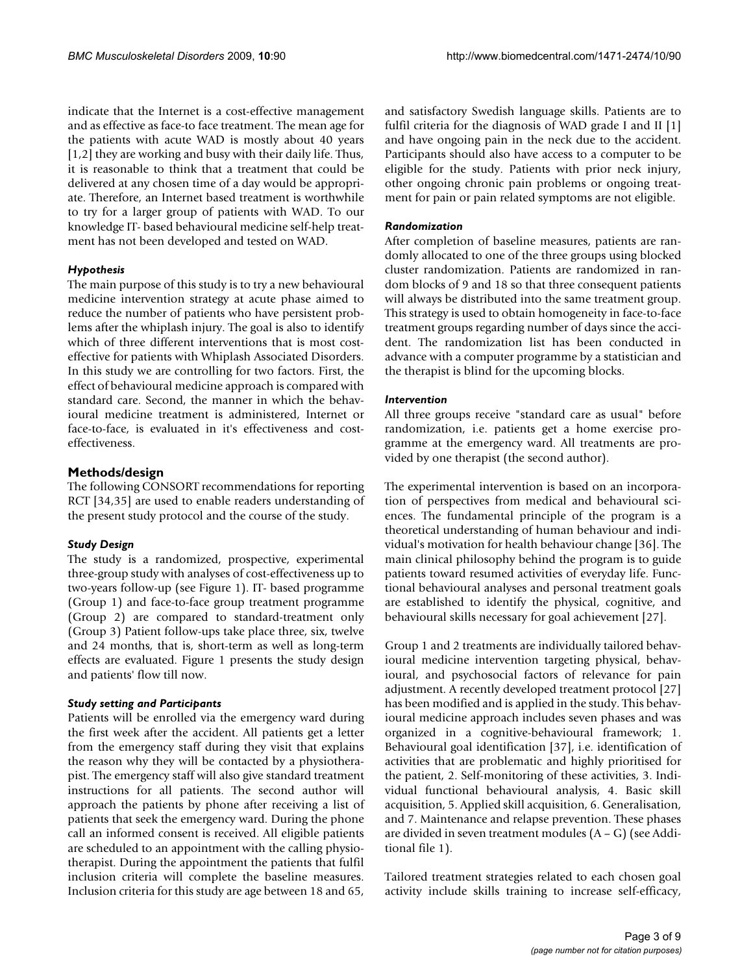indicate that the Internet is a cost-effective management and as effective as face-to face treatment. The mean age for the patients with acute WAD is mostly about 40 years [1,2] they are working and busy with their daily life. Thus, it is reasonable to think that a treatment that could be delivered at any chosen time of a day would be appropriate. Therefore, an Internet based treatment is worthwhile to try for a larger group of patients with WAD. To our knowledge IT- based behavioural medicine self-help treatment has not been developed and tested on WAD.

#### *Hypothesis*

The main purpose of this study is to try a new behavioural medicine intervention strategy at acute phase aimed to reduce the number of patients who have persistent problems after the whiplash injury. The goal is also to identify which of three different interventions that is most costeffective for patients with Whiplash Associated Disorders. In this study we are controlling for two factors. First, the effect of behavioural medicine approach is compared with standard care. Second, the manner in which the behavioural medicine treatment is administered, Internet or face-to-face, is evaluated in it's effectiveness and costeffectiveness.

# **Methods/design**

The following CONSORT recommendations for reporting RCT [34,35] are used to enable readers understanding of the present study protocol and the course of the study.

# *Study Design*

The study is a randomized, prospective, experimental three-group study with analyses of cost-effectiveness up to two-years follow-up (see Figure 1). IT- based programme (Group 1) and face-to-face group treatment programme (Group 2) are compared to standard-treatment only (Group 3) Patient follow-ups take place three, six, twelve and 24 months, that is, short-term as well as long-term effects are evaluated. Figure 1 presents the study design and patients' flow till now.

#### *Study setting and Participants*

Patients will be enrolled via the emergency ward during the first week after the accident. All patients get a letter from the emergency staff during they visit that explains the reason why they will be contacted by a physiotherapist. The emergency staff will also give standard treatment instructions for all patients. The second author will approach the patients by phone after receiving a list of patients that seek the emergency ward. During the phone call an informed consent is received. All eligible patients are scheduled to an appointment with the calling physiotherapist. During the appointment the patients that fulfil inclusion criteria will complete the baseline measures. Inclusion criteria for this study are age between 18 and 65,

and satisfactory Swedish language skills. Patients are to fulfil criteria for the diagnosis of WAD grade I and II [1] and have ongoing pain in the neck due to the accident. Participants should also have access to a computer to be eligible for the study. Patients with prior neck injury, other ongoing chronic pain problems or ongoing treatment for pain or pain related symptoms are not eligible.

#### *Randomization*

After completion of baseline measures, patients are randomly allocated to one of the three groups using blocked cluster randomization. Patients are randomized in random blocks of 9 and 18 so that three consequent patients will always be distributed into the same treatment group. This strategy is used to obtain homogeneity in face-to-face treatment groups regarding number of days since the accident. The randomization list has been conducted in advance with a computer programme by a statistician and the therapist is blind for the upcoming blocks.

#### *Intervention*

All three groups receive "standard care as usual" before randomization, i.e. patients get a home exercise programme at the emergency ward. All treatments are provided by one therapist (the second author).

The experimental intervention is based on an incorporation of perspectives from medical and behavioural sciences. The fundamental principle of the program is a theoretical understanding of human behaviour and individual's motivation for health behaviour change [36]. The main clinical philosophy behind the program is to guide patients toward resumed activities of everyday life. Functional behavioural analyses and personal treatment goals are established to identify the physical, cognitive, and behavioural skills necessary for goal achievement [27].

Group 1 and 2 treatments are individually tailored behavioural medicine intervention targeting physical, behavioural, and psychosocial factors of relevance for pain adjustment. A recently developed treatment protocol [27] has been modified and is applied in the study. This behavioural medicine approach includes seven phases and was organized in a cognitive-behavioural framework; 1. Behavioural goal identification [37], i.e. identification of activities that are problematic and highly prioritised for the patient, 2. Self-monitoring of these activities, 3. Individual functional behavioural analysis, 4. Basic skill acquisition, 5. Applied skill acquisition, 6. Generalisation, and 7. Maintenance and relapse prevention. These phases are divided in seven treatment modules (A – G) (see Additional file 1).

Tailored treatment strategies related to each chosen goal activity include skills training to increase self-efficacy,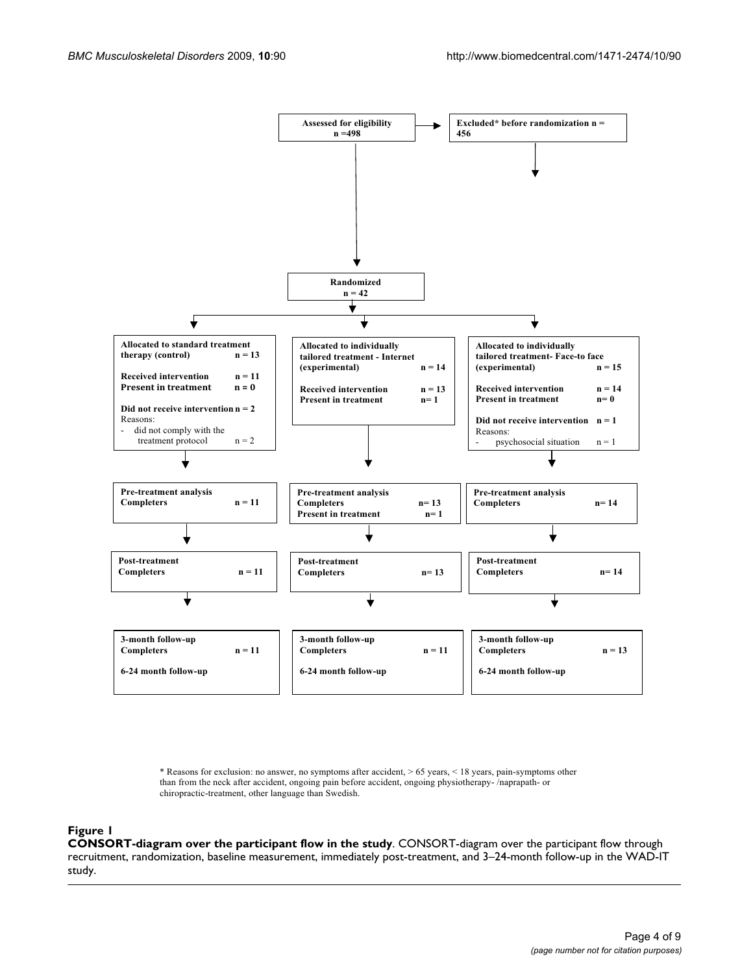

\* Reasons for exclusion: no answer, no symptoms after accident, > 65 years, < 18 years, pain-symptoms other than from the neck after accident, ongoing pain before accident, ongoing physiotherapy- /naprapath- or chiropractic-treatment, other language than Swedish.

# Figure 1

**CONSORT-diagram over the participant flow in the study**. CONSORT-diagram over the participant flow through recruitment, randomization, baseline measurement, immediately post-treatment, and 3–24-month follow-up in the WAD-IT study.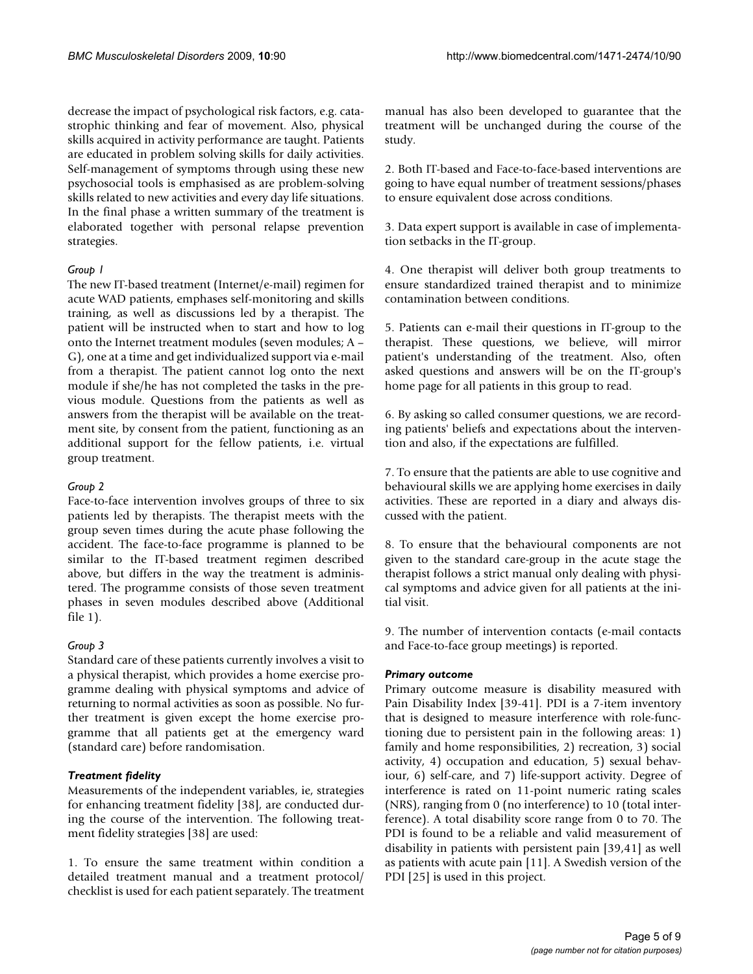decrease the impact of psychological risk factors, e.g. catastrophic thinking and fear of movement. Also, physical skills acquired in activity performance are taught. Patients are educated in problem solving skills for daily activities. Self-management of symptoms through using these new psychosocial tools is emphasised as are problem-solving skills related to new activities and every day life situations. In the final phase a written summary of the treatment is elaborated together with personal relapse prevention strategies.

# *Group 1*

The new IT-based treatment (Internet/e-mail) regimen for acute WAD patients, emphases self-monitoring and skills training, as well as discussions led by a therapist. The patient will be instructed when to start and how to log onto the Internet treatment modules (seven modules; A – G), one at a time and get individualized support via e-mail from a therapist. The patient cannot log onto the next module if she/he has not completed the tasks in the previous module. Questions from the patients as well as answers from the therapist will be available on the treatment site, by consent from the patient, functioning as an additional support for the fellow patients, i.e. virtual group treatment.

# *Group 2*

Face-to-face intervention involves groups of three to six patients led by therapists. The therapist meets with the group seven times during the acute phase following the accident. The face-to-face programme is planned to be similar to the IT-based treatment regimen described above, but differs in the way the treatment is administered. The programme consists of those seven treatment phases in seven modules described above (Additional file 1).

# *Group 3*

Standard care of these patients currently involves a visit to a physical therapist, which provides a home exercise programme dealing with physical symptoms and advice of returning to normal activities as soon as possible. No further treatment is given except the home exercise programme that all patients get at the emergency ward (standard care) before randomisation.

# *Treatment fidelity*

Measurements of the independent variables, ie, strategies for enhancing treatment fidelity [38], are conducted during the course of the intervention. The following treatment fidelity strategies [38] are used:

1. To ensure the same treatment within condition a detailed treatment manual and a treatment protocol/ checklist is used for each patient separately. The treatment

manual has also been developed to guarantee that the treatment will be unchanged during the course of the study.

2. Both IT-based and Face-to-face-based interventions are going to have equal number of treatment sessions/phases to ensure equivalent dose across conditions.

3. Data expert support is available in case of implementation setbacks in the IT-group.

4. One therapist will deliver both group treatments to ensure standardized trained therapist and to minimize contamination between conditions.

5. Patients can e-mail their questions in IT-group to the therapist. These questions, we believe, will mirror patient's understanding of the treatment. Also, often asked questions and answers will be on the IT-group's home page for all patients in this group to read.

6. By asking so called consumer questions, we are recording patients' beliefs and expectations about the intervention and also, if the expectations are fulfilled.

7. To ensure that the patients are able to use cognitive and behavioural skills we are applying home exercises in daily activities. These are reported in a diary and always discussed with the patient.

8. To ensure that the behavioural components are not given to the standard care-group in the acute stage the therapist follows a strict manual only dealing with physical symptoms and advice given for all patients at the initial visit.

9. The number of intervention contacts (e-mail contacts and Face-to-face group meetings) is reported.

# *Primary outcome*

Primary outcome measure is disability measured with Pain Disability Index [39-41]. PDI is a 7-item inventory that is designed to measure interference with role-functioning due to persistent pain in the following areas: 1) family and home responsibilities, 2) recreation, 3) social activity, 4) occupation and education, 5) sexual behaviour, 6) self-care, and 7) life-support activity. Degree of interference is rated on 11-point numeric rating scales (NRS), ranging from 0 (no interference) to 10 (total interference). A total disability score range from 0 to 70. The PDI is found to be a reliable and valid measurement of disability in patients with persistent pain [39,41] as well as patients with acute pain [11]. A Swedish version of the PDI [25] is used in this project.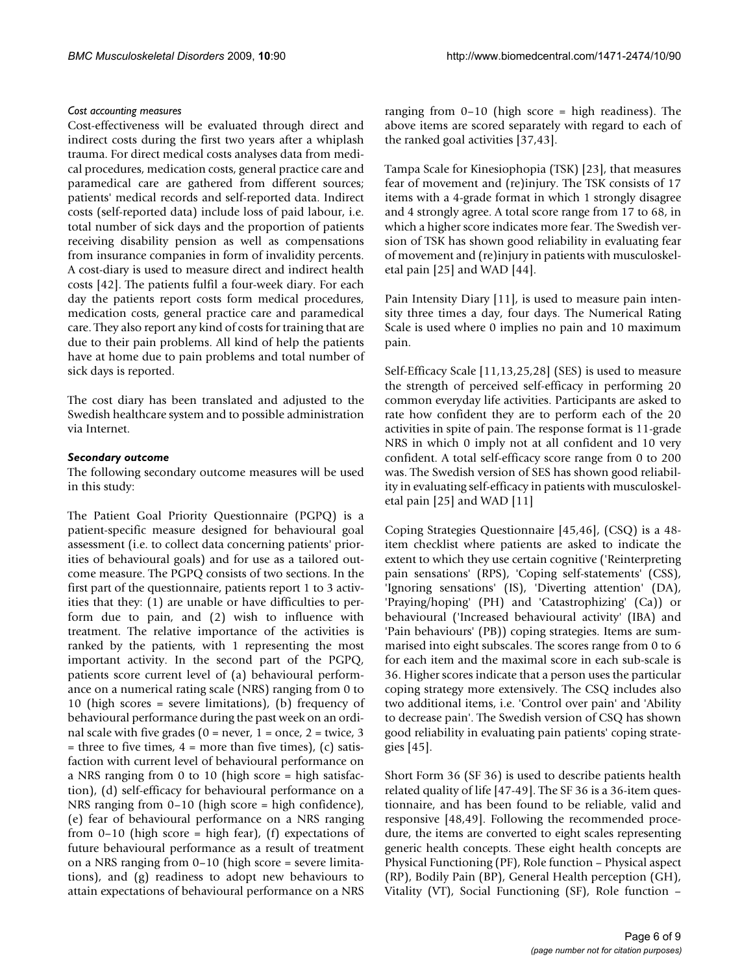#### *Cost accounting measures*

Cost-effectiveness will be evaluated through direct and indirect costs during the first two years after a whiplash trauma. For direct medical costs analyses data from medical procedures, medication costs, general practice care and paramedical care are gathered from different sources; patients' medical records and self-reported data. Indirect costs (self-reported data) include loss of paid labour, i.e. total number of sick days and the proportion of patients receiving disability pension as well as compensations from insurance companies in form of invalidity percents. A cost-diary is used to measure direct and indirect health costs [42]. The patients fulfil a four-week diary. For each day the patients report costs form medical procedures, medication costs, general practice care and paramedical care. They also report any kind of costs for training that are due to their pain problems. All kind of help the patients have at home due to pain problems and total number of sick days is reported.

The cost diary has been translated and adjusted to the Swedish healthcare system and to possible administration via Internet.

# *Secondary outcome*

The following secondary outcome measures will be used in this study:

The Patient Goal Priority Questionnaire (PGPQ) is a patient-specific measure designed for behavioural goal assessment (i.e. to collect data concerning patients' priorities of behavioural goals) and for use as a tailored outcome measure. The PGPQ consists of two sections. In the first part of the questionnaire, patients report 1 to 3 activities that they: (1) are unable or have difficulties to perform due to pain, and (2) wish to influence with treatment. The relative importance of the activities is ranked by the patients, with 1 representing the most important activity. In the second part of the PGPQ, patients score current level of (a) behavioural performance on a numerical rating scale (NRS) ranging from 0 to 10 (high scores = severe limitations), (b) frequency of behavioural performance during the past week on an ordinal scale with five grades ( $0 =$  never,  $1 =$  once,  $2 =$  twice, 3 = three to five times,  $4 =$  more than five times), (c) satisfaction with current level of behavioural performance on a NRS ranging from 0 to 10 (high score = high satisfaction), (d) self-efficacy for behavioural performance on a NRS ranging from 0–10 (high score = high confidence), (e) fear of behavioural performance on a NRS ranging from  $0-10$  (high score = high fear), (f) expectations of future behavioural performance as a result of treatment on a NRS ranging from  $0-10$  (high score = severe limitations), and (g) readiness to adopt new behaviours to attain expectations of behavioural performance on a NRS

ranging from  $0-10$  (high score = high readiness). The above items are scored separately with regard to each of the ranked goal activities [37,43].

Tampa Scale for Kinesiophopia (TSK) [23], that measures fear of movement and (re)injury. The TSK consists of 17 items with a 4-grade format in which 1 strongly disagree and 4 strongly agree. A total score range from 17 to 68, in which a higher score indicates more fear. The Swedish version of TSK has shown good reliability in evaluating fear of movement and (re)injury in patients with musculoskeletal pain [25] and WAD [44].

Pain Intensity Diary [11], is used to measure pain intensity three times a day, four days. The Numerical Rating Scale is used where 0 implies no pain and 10 maximum pain.

Self-Efficacy Scale [11,13,25,28] (SES) is used to measure the strength of perceived self-efficacy in performing 20 common everyday life activities. Participants are asked to rate how confident they are to perform each of the 20 activities in spite of pain. The response format is 11-grade NRS in which 0 imply not at all confident and 10 very confident. A total self-efficacy score range from 0 to 200 was. The Swedish version of SES has shown good reliability in evaluating self-efficacy in patients with musculoskeletal pain [25] and WAD [11]

Coping Strategies Questionnaire [45,46], (CSQ) is a 48 item checklist where patients are asked to indicate the extent to which they use certain cognitive ('Reinterpreting pain sensations' (RPS), 'Coping self-statements' (CSS), 'Ignoring sensations' (IS), 'Diverting attention' (DA), 'Praying/hoping' (PH) and 'Catastrophizing' (Ca)) or behavioural ('Increased behavioural activity' (IBA) and 'Pain behaviours' (PB)) coping strategies. Items are summarised into eight subscales. The scores range from 0 to 6 for each item and the maximal score in each sub-scale is 36. Higher scores indicate that a person uses the particular coping strategy more extensively. The CSQ includes also two additional items, i.e. 'Control over pain' and 'Ability to decrease pain'. The Swedish version of CSQ has shown good reliability in evaluating pain patients' coping strategies [45].

Short Form 36 (SF 36) is used to describe patients health related quality of life [47-49]. The SF 36 is a 36-item questionnaire, and has been found to be reliable, valid and responsive [48,49]. Following the recommended procedure, the items are converted to eight scales representing generic health concepts. These eight health concepts are Physical Functioning (PF), Role function – Physical aspect (RP), Bodily Pain (BP), General Health perception (GH), Vitality (VT), Social Functioning (SF), Role function –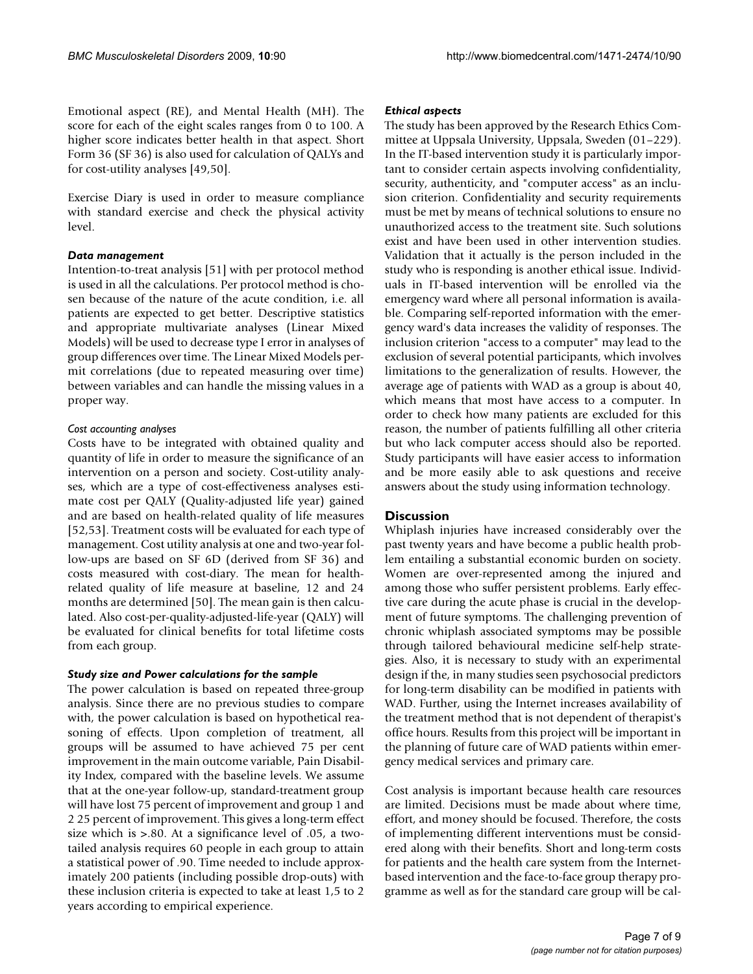Emotional aspect (RE), and Mental Health (MH). The score for each of the eight scales ranges from 0 to 100. A higher score indicates better health in that aspect. Short Form 36 (SF 36) is also used for calculation of QALYs and for cost-utility analyses [49,50].

Exercise Diary is used in order to measure compliance with standard exercise and check the physical activity level.

#### *Data management*

Intention-to-treat analysis [51] with per protocol method is used in all the calculations. Per protocol method is chosen because of the nature of the acute condition, i.e. all patients are expected to get better. Descriptive statistics and appropriate multivariate analyses (Linear Mixed Models) will be used to decrease type I error in analyses of group differences over time. The Linear Mixed Models permit correlations (due to repeated measuring over time) between variables and can handle the missing values in a proper way.

# *Cost accounting analyses*

Costs have to be integrated with obtained quality and quantity of life in order to measure the significance of an intervention on a person and society. Cost-utility analyses, which are a type of cost-effectiveness analyses estimate cost per QALY (Quality-adjusted life year) gained and are based on health-related quality of life measures [52,53]. Treatment costs will be evaluated for each type of management. Cost utility analysis at one and two-year follow-ups are based on SF 6D (derived from SF 36) and costs measured with cost-diary. The mean for healthrelated quality of life measure at baseline, 12 and 24 months are determined [50]. The mean gain is then calculated. Also cost-per-quality-adjusted-life-year (QALY) will be evaluated for clinical benefits for total lifetime costs from each group.

# *Study size and Power calculations for the sample*

The power calculation is based on repeated three-group analysis. Since there are no previous studies to compare with, the power calculation is based on hypothetical reasoning of effects. Upon completion of treatment, all groups will be assumed to have achieved 75 per cent improvement in the main outcome variable, Pain Disability Index, compared with the baseline levels. We assume that at the one-year follow-up, standard-treatment group will have lost 75 percent of improvement and group 1 and 2 25 percent of improvement. This gives a long-term effect size which is >.80. At a significance level of .05, a twotailed analysis requires 60 people in each group to attain a statistical power of .90. Time needed to include approximately 200 patients (including possible drop-outs) with these inclusion criteria is expected to take at least 1,5 to 2 years according to empirical experience.

#### *Ethical aspects*

The study has been approved by the Research Ethics Committee at Uppsala University, Uppsala, Sweden (01–229). In the IT-based intervention study it is particularly important to consider certain aspects involving confidentiality, security, authenticity, and "computer access" as an inclusion criterion. Confidentiality and security requirements must be met by means of technical solutions to ensure no unauthorized access to the treatment site. Such solutions exist and have been used in other intervention studies. Validation that it actually is the person included in the study who is responding is another ethical issue. Individuals in IT-based intervention will be enrolled via the emergency ward where all personal information is available. Comparing self-reported information with the emergency ward's data increases the validity of responses. The inclusion criterion "access to a computer" may lead to the exclusion of several potential participants, which involves limitations to the generalization of results. However, the average age of patients with WAD as a group is about 40, which means that most have access to a computer. In order to check how many patients are excluded for this reason, the number of patients fulfilling all other criteria but who lack computer access should also be reported. Study participants will have easier access to information and be more easily able to ask questions and receive answers about the study using information technology.

# **Discussion**

Whiplash injuries have increased considerably over the past twenty years and have become a public health problem entailing a substantial economic burden on society. Women are over-represented among the injured and among those who suffer persistent problems. Early effective care during the acute phase is crucial in the development of future symptoms. The challenging prevention of chronic whiplash associated symptoms may be possible through tailored behavioural medicine self-help strategies. Also, it is necessary to study with an experimental design if the, in many studies seen psychosocial predictors for long-term disability can be modified in patients with WAD. Further, using the Internet increases availability of the treatment method that is not dependent of therapist's office hours. Results from this project will be important in the planning of future care of WAD patients within emergency medical services and primary care.

Cost analysis is important because health care resources are limited. Decisions must be made about where time, effort, and money should be focused. Therefore, the costs of implementing different interventions must be considered along with their benefits. Short and long-term costs for patients and the health care system from the Internetbased intervention and the face-to-face group therapy programme as well as for the standard care group will be cal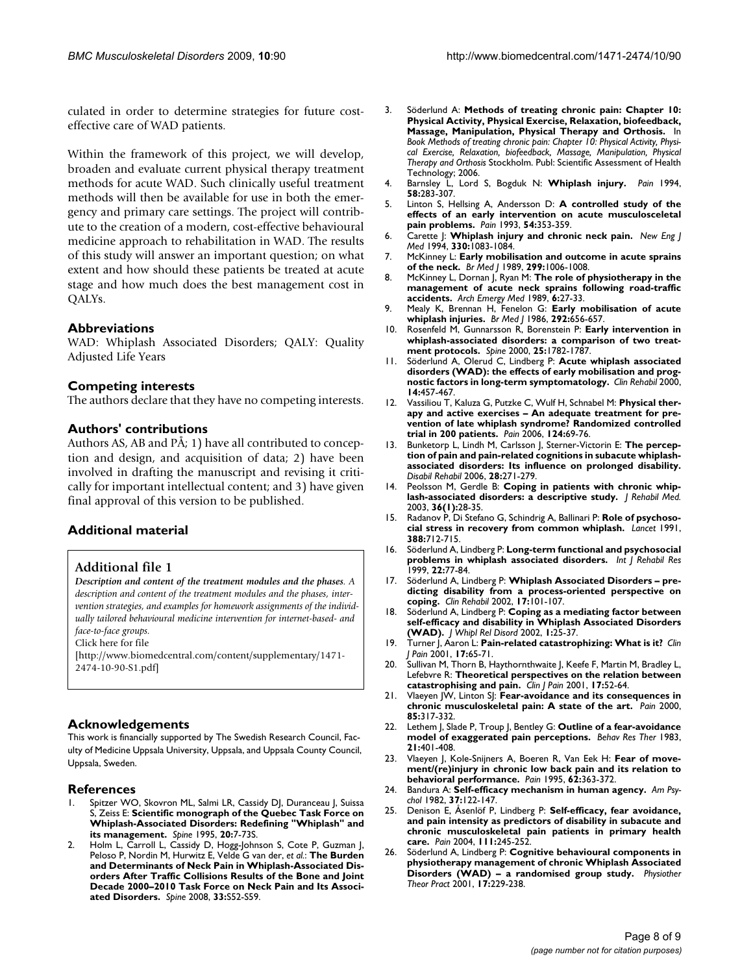culated in order to determine strategies for future costeffective care of WAD patients.

Within the framework of this project, we will develop, broaden and evaluate current physical therapy treatment methods for acute WAD. Such clinically useful treatment methods will then be available for use in both the emergency and primary care settings. The project will contribute to the creation of a modern, cost-effective behavioural medicine approach to rehabilitation in WAD. The results of this study will answer an important question; on what extent and how should these patients be treated at acute stage and how much does the best management cost in QALYs.

#### **Abbreviations**

WAD: Whiplash Associated Disorders; QALY: Quality Adjusted Life Years

#### **Competing interests**

The authors declare that they have no competing interests.

#### **Authors' contributions**

Authors AS, AB and PÅ; 1) have all contributed to conception and design, and acquisition of data; 2) have been involved in drafting the manuscript and revising it critically for important intellectual content; and 3) have given final approval of this version to be published.

# **Additional material**

#### **Additional file 1**

*Description and content of the treatment modules and the phases. A description and content of the treatment modules and the phases, intervention strategies, and examples for homework assignments of the individually tailored behavioural medicine intervention for internet-based- and face-to-face groups.*

Click here for file

[\[http://www.biomedcentral.com/content/supplementary/1471-](http://www.biomedcentral.com/content/supplementary/1471-2474-10-90-S1.pdf) 2474-10-90-S1.pdf]

# **Acknowledgements**

This work is financially supported by The Swedish Research Council, Faculty of Medicine Uppsala University, Uppsala, and Uppsala County Council, Uppsala, Sweden.

#### **References**

- Spitzer WO, Skovron ML, Salmi LR, Cassidy DJ, Duranceau J, Suissa S, Zeiss E: **Scientific monograph of the Quebec Task Force on Whiplash-Associated Disorders: Redefining "Whiplash" and its management.** *Spine* 1995, **20:**7-73S.
- 2. Holm L, Carroll L, Cassidy D, Hogg-Johnson S, Cote P, Guzman J, Peloso P, Nordin M, Hurwitz E, Velde G van der, *et al.*: **[The Burden](http://www.ncbi.nlm.nih.gov/entrez/query.fcgi?cmd=Retrieve&db=PubMed&dopt=Abstract&list_uids=18204401) [and Determinants of Neck Pain in Whiplash-Associated Dis](http://www.ncbi.nlm.nih.gov/entrez/query.fcgi?cmd=Retrieve&db=PubMed&dopt=Abstract&list_uids=18204401)orders After Traffic Collisions Results of the Bone and Joint Decade 2000–2010 Task Force on Neck Pain and Its Associ[ated Disorders.](http://www.ncbi.nlm.nih.gov/entrez/query.fcgi?cmd=Retrieve&db=PubMed&dopt=Abstract&list_uids=18204401)** *Spine* 2008, **33:**S52-S59.
- 3. Söderlund A: **Methods of treating chronic pain: Chapter 10: Physical Activity, Physical Exercise, Relaxation, biofeedback, Massage, Manipulation, Physical Therapy and Orthosis.** In *Book Methods of treating chronic pain: Chapter 10: Physical Activity, Physical Exercise, Relaxation, biofeedback, Massage, Manipulation, Physical Therapy and Orthosis* Stockholm. Publ: Scientific Assessment of Health Technology; 2006.
- 4. Barnsley L, Lord S, Bogduk N: **[Whiplash injury.](http://www.ncbi.nlm.nih.gov/entrez/query.fcgi?cmd=Retrieve&db=PubMed&dopt=Abstract&list_uids=7838578)** *Pain* 1994, **58:**283-307.
- 5. Linton S, Hellsing A, Andersson D: **[A controlled study of the](http://www.ncbi.nlm.nih.gov/entrez/query.fcgi?cmd=Retrieve&db=PubMed&dopt=Abstract&list_uids=8233552) [effects of an early intervention on acute musculosceletal](http://www.ncbi.nlm.nih.gov/entrez/query.fcgi?cmd=Retrieve&db=PubMed&dopt=Abstract&list_uids=8233552) [pain problems.](http://www.ncbi.nlm.nih.gov/entrez/query.fcgi?cmd=Retrieve&db=PubMed&dopt=Abstract&list_uids=8233552)** *Pain* 1993, **54:**353-359.
- 6. Carette J: **[Whiplash injury and chronic neck pain.](http://www.ncbi.nlm.nih.gov/entrez/query.fcgi?cmd=Retrieve&db=PubMed&dopt=Abstract&list_uids=8127339)** *New Eng J Med* 1994, **330:**1083-1084.
- 7. McKinney L: **Early mobilisation and outcome in acute sprains of the neck.** *Br Med J* 1989, **299:**1006-1008.
- 8. McKinney L, Dornan J, Ryan M: **The role of physiotherapy in the management of acute neck sprains following road-traffic accidents.** *Arch Emergy Med* 1989, **6:**27-33.
- 9. Mealy K, Brennan H, Fenelon G: **Early mobilisation of acute whiplash injuries.** *Br Med J* 1986, **292:**656-657.
- 10. Rosenfeld M, Gunnarsson R, Borenstein P: **[Early intervention in](http://www.ncbi.nlm.nih.gov/entrez/query.fcgi?cmd=Retrieve&db=PubMed&dopt=Abstract&list_uids=10888946) [whiplash-associated disorders: a comparison of two treat](http://www.ncbi.nlm.nih.gov/entrez/query.fcgi?cmd=Retrieve&db=PubMed&dopt=Abstract&list_uids=10888946)[ment protocols.](http://www.ncbi.nlm.nih.gov/entrez/query.fcgi?cmd=Retrieve&db=PubMed&dopt=Abstract&list_uids=10888946)** *Spine* 2000, **25:**1782-1787.
- 11. Söderlund A, Olerud C, Lindberg P: **[Acute whiplash associated](http://www.ncbi.nlm.nih.gov/entrez/query.fcgi?cmd=Retrieve&db=PubMed&dopt=Abstract&list_uids=11043871) [disorders \(WAD\): the effects of early mobilisation and prog](http://www.ncbi.nlm.nih.gov/entrez/query.fcgi?cmd=Retrieve&db=PubMed&dopt=Abstract&list_uids=11043871)[nostic factors in long-term symptomatology.](http://www.ncbi.nlm.nih.gov/entrez/query.fcgi?cmd=Retrieve&db=PubMed&dopt=Abstract&list_uids=11043871)** *Clin Rehabil* 2000, **14:**457-467.
- 12. Vassiliou T, Kaluza G, Putzke C, Wulf H, Schnabel M: **[Physical ther](http://www.ncbi.nlm.nih.gov/entrez/query.fcgi?cmd=Retrieve&db=PubMed&dopt=Abstract&list_uids=16697113)[apy and active exercises – An adequate treatment for pre](http://www.ncbi.nlm.nih.gov/entrez/query.fcgi?cmd=Retrieve&db=PubMed&dopt=Abstract&list_uids=16697113)vention of late whiplash syndrome? Randomized controlled [trial in 200 patients.](http://www.ncbi.nlm.nih.gov/entrez/query.fcgi?cmd=Retrieve&db=PubMed&dopt=Abstract&list_uids=16697113)** *Pain* 2006, **124:**69-76.
- 13. Bunketorp L, Lindh M, Carlsson J, Sterner-Victorin E: **[The percep](http://www.ncbi.nlm.nih.gov/entrez/query.fcgi?cmd=Retrieve&db=PubMed&dopt=Abstract&list_uids=16492621)[tion of pain and pain-related cognitions in subacute whiplash](http://www.ncbi.nlm.nih.gov/entrez/query.fcgi?cmd=Retrieve&db=PubMed&dopt=Abstract&list_uids=16492621)associated disorders: Its influence on prolonged disability.** *Disabil Rehabil* 2006, **28:**271-279.
- 14. Peolsson M, Gerdle B: **[Coping in patients with chronic whip](http://www.ncbi.nlm.nih.gov/entrez/query.fcgi?cmd=Retrieve&db=PubMed&dopt=Abstract&list_uids=)[lash-associated disorders: a descriptive study.](http://www.ncbi.nlm.nih.gov/entrez/query.fcgi?cmd=Retrieve&db=PubMed&dopt=Abstract&list_uids=)** *J Rehabil Med.* 2003, **36(1):**28-35.
- 15. Radanov P, Di Stefano G, Schindrig A, Ballinari P: **Role of psychosocial stress in recovery from common whiplash.** *Lancet* 1991, **388:**712-715.
- 16. Söderlund A, Lindberg P: **[Long-term functional and psychosocial](http://www.ncbi.nlm.nih.gov/entrez/query.fcgi?cmd=Retrieve&db=PubMed&dopt=Abstract&list_uids=10448618) [problems in whiplash associated disorders.](http://www.ncbi.nlm.nih.gov/entrez/query.fcgi?cmd=Retrieve&db=PubMed&dopt=Abstract&list_uids=10448618)** *Int J Rehabil Res* 1999, **22:**77-84.
- 17. Söderlund A, Lindberg P: **Whiplash Associated Disorders predicting disability from a process-oriented perspective on coping.** *Clin Rehabil* 2002, **17:**101-107.
- 18. Söderlund A, Lindberg P: **Coping as a mediating factor between self-efficacy and disability in Whiplash Associated Disorders (WAD).** *J Whipl Rel Disord* 2002, **1:**25-37.
- 19. Turner J, Aaron L: **[Pain-related catastrophizing: What is it?](http://www.ncbi.nlm.nih.gov/entrez/query.fcgi?cmd=Retrieve&db=PubMed&dopt=Abstract&list_uids=11289090)** *Clin J Pain* 2001, **17:**65-71.
- 20. Sullivan M, Thorn B, Haythornthwaite J, Keefe F, Martin M, Bradley L, Lefebvre R: **[Theoretical perspectives on the relation between](http://www.ncbi.nlm.nih.gov/entrez/query.fcgi?cmd=Retrieve&db=PubMed&dopt=Abstract&list_uids=11289089) [catastrophising and pain.](http://www.ncbi.nlm.nih.gov/entrez/query.fcgi?cmd=Retrieve&db=PubMed&dopt=Abstract&list_uids=11289089)** *Clin J Pain* 2001, **17:**52-64.
- 21. Vlaeyen JW, Linton SJ: **[Fear-avoidance and its consequences in](http://www.ncbi.nlm.nih.gov/entrez/query.fcgi?cmd=Retrieve&db=PubMed&dopt=Abstract&list_uids=10781906) [chronic musculoskeletal pain: A state of the art.](http://www.ncbi.nlm.nih.gov/entrez/query.fcgi?cmd=Retrieve&db=PubMed&dopt=Abstract&list_uids=10781906)** *Pain* 2000, **85:**317-332.
- 22. Lethem J, Slade P, Troup J, Bentley G: **[Outline of a fear-avoidance](http://www.ncbi.nlm.nih.gov/entrez/query.fcgi?cmd=Retrieve&db=PubMed&dopt=Abstract&list_uids=6626110) [model of exaggerated pain perceptions.](http://www.ncbi.nlm.nih.gov/entrez/query.fcgi?cmd=Retrieve&db=PubMed&dopt=Abstract&list_uids=6626110)** *Behav Res Ther* 1983, **21:**401-408.
- 23. Vlaeyen J, Kole-Snijners A, Boeren R, Van Eek H: **[Fear of move](http://www.ncbi.nlm.nih.gov/entrez/query.fcgi?cmd=Retrieve&db=PubMed&dopt=Abstract&list_uids=8657437)[ment/\(re\)injury in chronic low back pain and its relation to](http://www.ncbi.nlm.nih.gov/entrez/query.fcgi?cmd=Retrieve&db=PubMed&dopt=Abstract&list_uids=8657437) [behavioral performance.](http://www.ncbi.nlm.nih.gov/entrez/query.fcgi?cmd=Retrieve&db=PubMed&dopt=Abstract&list_uids=8657437)** *Pain* 1995, **62:**363-372.
- 24. Bandura A: **Self-efficacy mechanism in human agency.** *Am Psychol* 1982, **37:**122-147.
- 25. Denison E, Åsenlöf P, Lindberg P: **[Self-efficacy, fear avoidance,](http://www.ncbi.nlm.nih.gov/entrez/query.fcgi?cmd=Retrieve&db=PubMed&dopt=Abstract&list_uids=15363867) [and pain intensity as predictors of disability in subacute and](http://www.ncbi.nlm.nih.gov/entrez/query.fcgi?cmd=Retrieve&db=PubMed&dopt=Abstract&list_uids=15363867) chronic musculoskeletal pain patients in primary health [care.](http://www.ncbi.nlm.nih.gov/entrez/query.fcgi?cmd=Retrieve&db=PubMed&dopt=Abstract&list_uids=15363867)** *Pain* 2004, **111:**245-252.
- 26. Söderlund A, Lindberg P: **Cognitive behavioural components in physiotherapy management of chronic Whiplash Associated Disorders (WAD) – a randomised group study.** *Physiother Theor Pract* 2001, **17:**229-238.